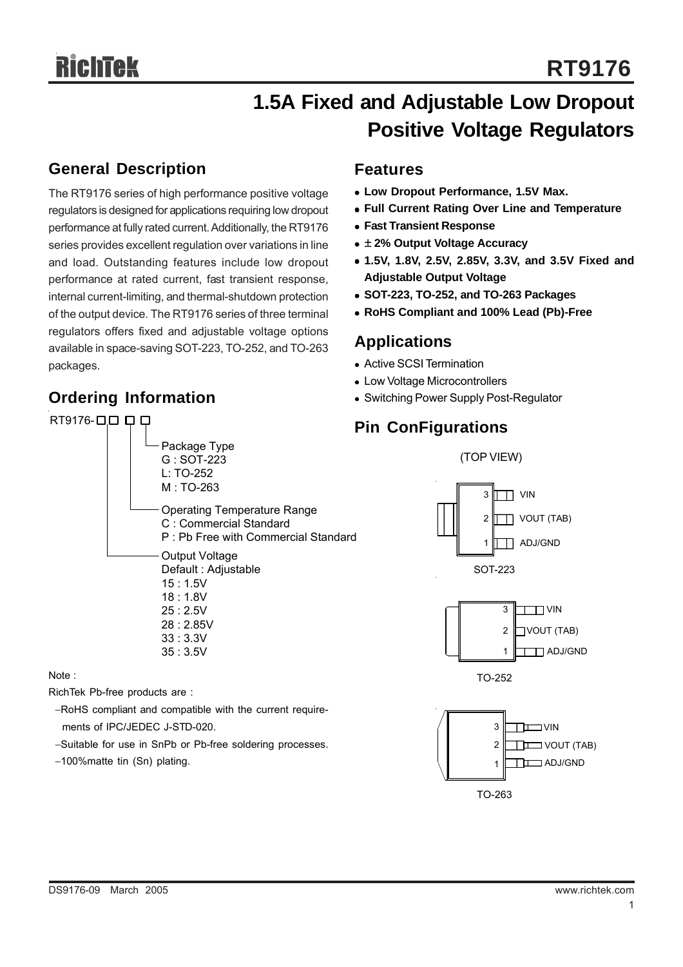# **1.5A Fixed and Adjustable Low Dropout Positive Voltage Regulators**

### **General Description**

The RT9176 series of high performance positive voltage regulators is designed for applications requiring low dropout performance at fully rated current. Additionally, the RT9176 series provides excellent regulation over variations in line and load. Outstanding features include low dropout performance at rated current, fast transient response, internal current-limiting, and thermal-shutdown protection of the output device. The RT9176 series of three terminal regulators offers fixed and adjustable voltage options available in space-saving SOT-223, TO-252, and TO-263 packages.

## **Ordering Information**

# **Features**

- **Low Dropout Performance, 1.5V Max.**
- **Full Current Rating Over Line and Temperature**
- **Fast Transient Response**
- <sup>z</sup> **± 2% Output Voltage Accuracy**
- <sup>z</sup> **1.5V, 1.8V, 2.5V, 2.85V, 3.3V, and 3.5V Fixed and Adjustable Output Voltage**
- <sup>z</sup> **SOT-223, TO-252, and TO-263 Packages**
- <sup>z</sup> **RoHS Compliant and 100% Lead (Pb)-Free**

### **Applications**

- Active SCSI Termination
- Low Voltage Microcontrollers
- Switching Power Supply Post-Regulator

### **Pin ConFigurations**



RichTek Pb-free products are :

- −RoHS compliant and compatible with the current require ments of IPC/JEDEC J-STD-020.
- −Suitable for use in SnPb or Pb-free soldering processes.
- −100%matte tin (Sn) plating.



(TOP VIEW)

1

**THE ADJ/GND**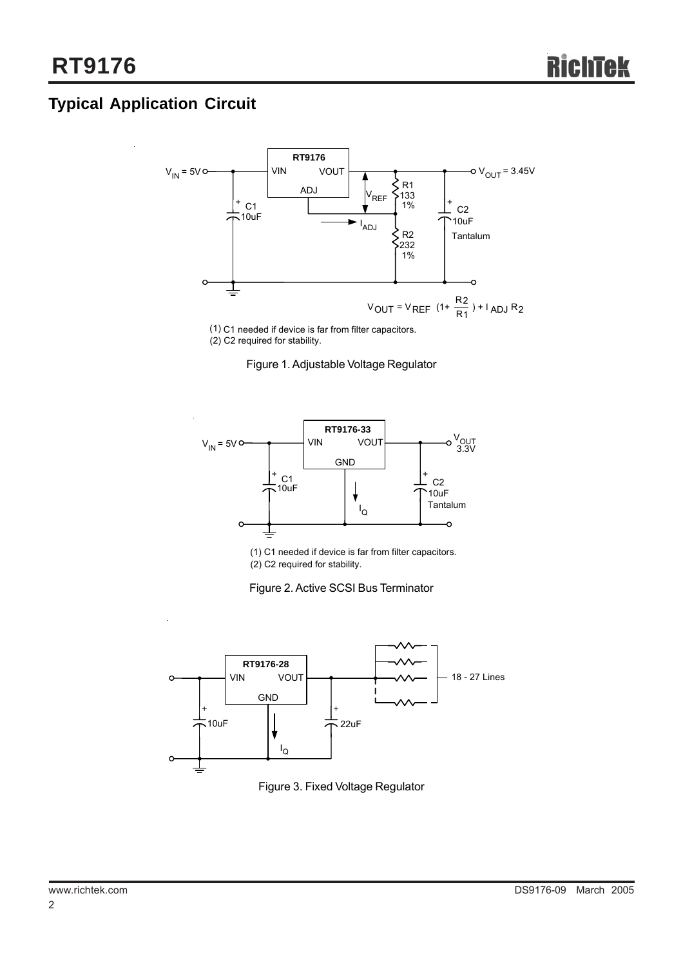# **Typical Application Circuit**



(2) C2 required for stability.





(1) C1 needed if device is far from filter capacitors. (2) C2 required for stability.





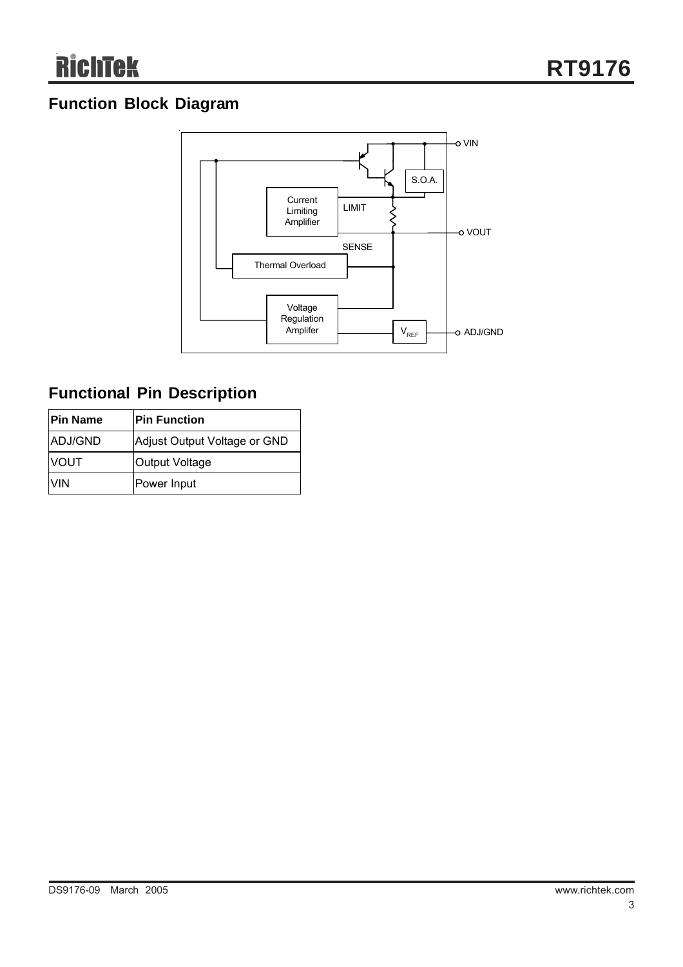### **Function Block Diagram**



## **Functional Pin Description**

| <b>Pin Name</b> | <b>IPin Function</b>         |
|-----------------|------------------------------|
| ADJ/GND         | Adjust Output Voltage or GND |
| <b>NOUT</b>     | <b>Output Voltage</b>        |
| IVIN            | Power Input                  |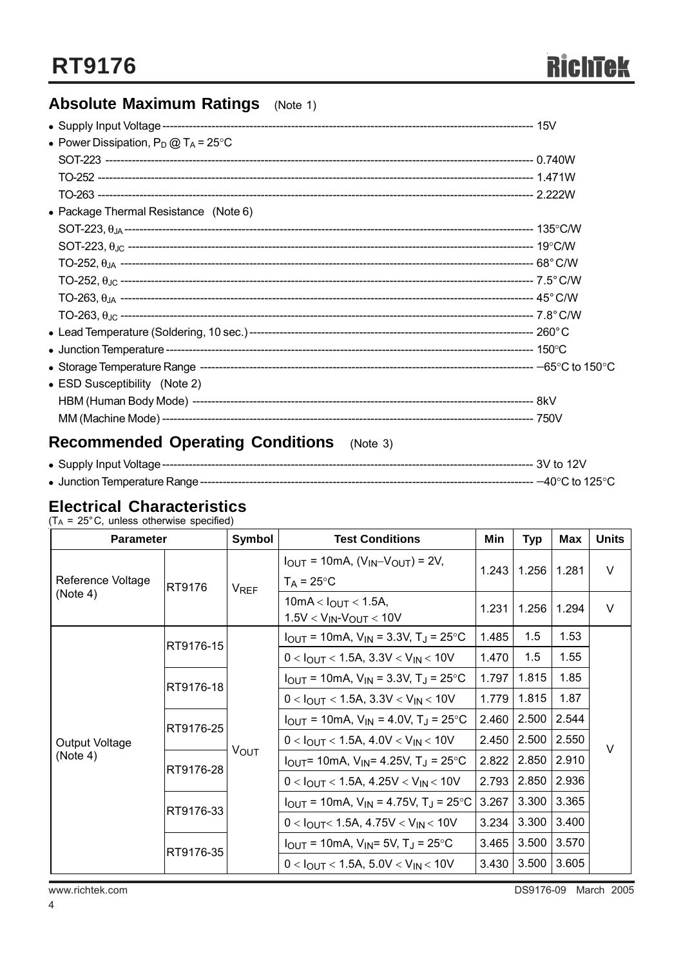### **Absolute Maximum Ratings** (Note 1)

| • Power Dissipation, $P_D @ T_A = 25^{\circ}C$ |  |
|------------------------------------------------|--|
|                                                |  |
|                                                |  |
|                                                |  |
| • Package Thermal Resistance (Note 6)          |  |
|                                                |  |
|                                                |  |
|                                                |  |
|                                                |  |
|                                                |  |
|                                                |  |
|                                                |  |
|                                                |  |
|                                                |  |
| • ESD Susceptibility (Note 2)                  |  |
|                                                |  |
|                                                |  |
|                                                |  |

# **Recommended Operating Conditions** (Note 3)

| $-40^{\circ}$ C to 125 $^{\circ}$ C $^{-1}$ |
|---------------------------------------------|

### **Electrical Characteristics**

 $(T_A = 25^{\circ} \text{C}, \text{ unless otherwise specified})$ 

| <b>Parameter</b>              |           | Symbol                 | <b>Test Conditions</b>                                                   | Min            | <b>Typ</b> | <b>Max</b> | <b>Units</b> |  |
|-------------------------------|-----------|------------------------|--------------------------------------------------------------------------|----------------|------------|------------|--------------|--|
| Reference Voltage<br>(Note 4) | RT9176    | <b>V<sub>REF</sub></b> | $I_{OUT}$ = 10mA, $(V_{IN} - V_{OUT})$ = 2V,<br>$T_A = 25^{\circ}C$      | 1.256<br>1.243 |            | 1.281      | $\vee$       |  |
|                               |           |                        | 10mA < $I_{OUT}$ < 1.5A,<br>$1.5V < V_{IN} - V_{OUT} < 10V$              | 1.231          | 1.256      | 1.294      | $\vee$       |  |
|                               | RT9176-15 | <b>VOUT</b>            | $I_{OUT}$ = 10mA, $V_{IN}$ = 3.3V, T <sub>J</sub> = 25 °C                | 1.485          | 1.5        | 1.53       | $\vee$       |  |
|                               |           |                        | $0 < I_{\text{OUT}} < 1.5$ A, 3.3V $<$ V <sub>IN</sub> $<$ 10V           | 1.470          | 1.5        | 1.55       |              |  |
|                               | RT9176-18 |                        | $I_{OUT}$ = 10mA, $V_{IN}$ = 3.3V, T <sub>J</sub> = 25 °C                | 1.797          | 1.815      | 1.85       |              |  |
|                               |           |                        | $0 < I_{\text{OUT}} < 1.5$ A, 3.3V $<$ V <sub>IN</sub> $<$ 10V           | 1.779          | 1.815      | 1.87       |              |  |
| Output Voltage<br>(Note 4)    | RT9176-25 |                        | $I_{OUT}$ = 10mA, $V_{IN}$ = 4.0V, T <sub>J</sub> = 25 °C                | 2.460          | 2.500      | 2.544      |              |  |
|                               |           |                        | $0 < I_{OUT} < 1.5A, 4.0V < V_{IN} < 10V$                                | 2.450          | 2.500      | 2.550      |              |  |
|                               | RT9176-28 |                        | $I_{\text{OUT}}$ = 10mA, $V_{\text{IN}}$ = 4.25V, T <sub>J</sub> = 25 °C | 2.822          | 2.850      | 2.910      |              |  |
|                               |           |                        | $0 < I_{OUT} < 1.5A, 4.25V < V_{IN} < 10V$                               | 2.793          | 2.850      | 2.936      |              |  |
|                               | RT9176-33 |                        | $I_{OUT}$ = 10mA, $V_{IN}$ = 4.75V, T <sub>J</sub> = 25 <sup>o</sup> C   | 3.267          | 3.300      | 3.365      |              |  |
|                               |           |                        | $0 < I_{OUT} < 1.5A, 4.75V < V_{IN} < 10V$                               | 3.234          | 3.300      | 3.400      |              |  |
|                               | RT9176-35 |                        | $I_{\text{OUT}}$ = 10mA, $V_{\text{IN}}$ = 5V, T <sub>J</sub> = 25°C     | 3.465          | 3.500      | 3.570      |              |  |
|                               |           |                        | $0 < I_{OUT} < 1.5A$ , 5.0V $<$ V <sub>IN</sub> $<$ 10V                  | 3.430          | 3.500      | 3.605      |              |  |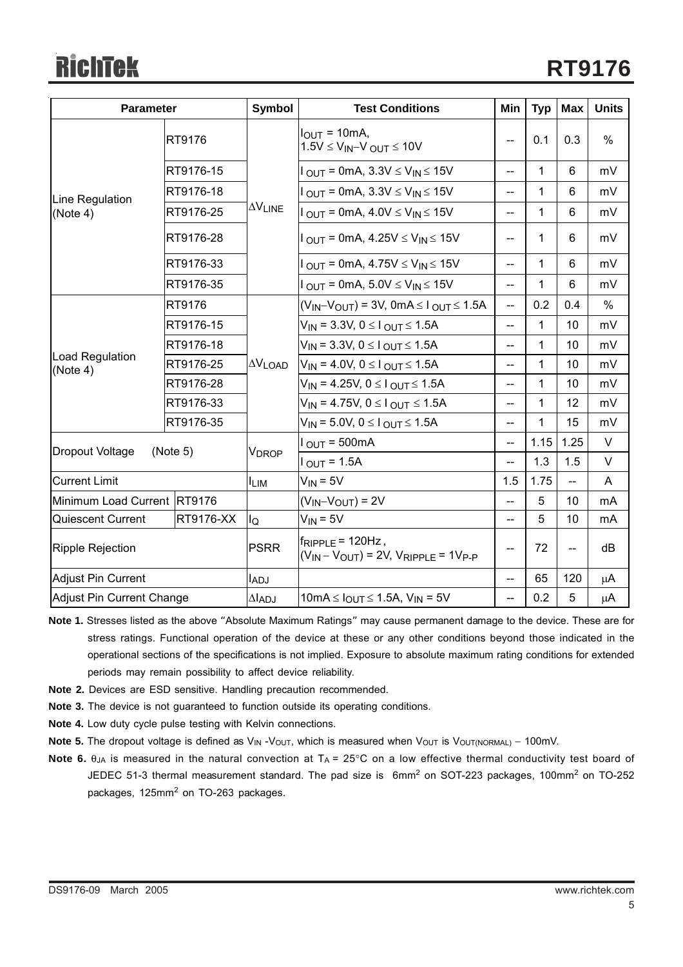| <b>Parameter</b>               |           | Symbol          | <b>Test Conditions</b>                                                                                                                                                                                                                                 |                          | <b>Typ</b> | <b>Max</b>      | <b>Units</b>  |
|--------------------------------|-----------|-----------------|--------------------------------------------------------------------------------------------------------------------------------------------------------------------------------------------------------------------------------------------------------|--------------------------|------------|-----------------|---------------|
|                                | RT9176    |                 | $IOUT = 10mA,$<br>$1.5V \leq V_{IN} - V_{OUT} \leq 10V$                                                                                                                                                                                                |                          | 0.1        | 0.3             | %             |
|                                | RT9176-15 | <b>AVLINE</b>   | $1_{\text{OUT}} = 0$ mA, 3.3V $\leq$ V <sub>IN</sub> $\leq$ 15V                                                                                                                                                                                        | $- -$                    | 1          | 6               | mV            |
| Line Regulation                | RT9176-18 |                 | $I_{\text{OUT}} = 0$ mA, $3.3V \le V_{\text{IN}} \le 15V$                                                                                                                                                                                              | $-$                      | 1          | 6               | mV            |
| (Note 4)                       | RT9176-25 |                 | $I_{\text{OUT}} = 0$ mA, $4.0 \text{V} \leq V_{\text{IN}} \leq 15 \text{V}$                                                                                                                                                                            | $-$                      | 1          | 6               | mV            |
|                                | RT9176-28 |                 | $1_{\text{OUT}} = 0$ mA, 4.25V $\leq$ V <sub>IN</sub> $\leq$ 15V                                                                                                                                                                                       | --                       | 1          | 6               | mV            |
|                                | RT9176-33 |                 | $1_{\text{OUT}}$ = 0mA, 4.75V $\leq$ V <sub>IN</sub> $\leq$ 15V                                                                                                                                                                                        | $-$                      | 1          | 6               | mV            |
|                                | RT9176-35 |                 | $I_{\text{OUT}} = 0$ mA, 5.0V $\leq$ V <sub>IN</sub> $\leq$ 15V                                                                                                                                                                                        |                          | 1          | 6               | mV            |
|                                | RT9176    | $\Delta V$ LOAD | $(V_{IN}-V_{OUT})$ = 3V, 0mA $\leq$ I $_{OUT}$ $\leq$ 1.5A                                                                                                                                                                                             | $-$                      | 0.2        | 0.4             | $\frac{0}{0}$ |
|                                | RT9176-15 |                 | $V_{IN}$ = 3.3V, 0 $\leq$ 1 $_{OUT}$ $\leq$ 1.5A<br>$V_{IN}$ = 3.3V, 0 ≤ l <sub>OUT</sub> ≤ 1.5A<br>$V_{IN}$ = 4.0V, 0 $\leq$ 1 $_{OUT}$ $\leq$ 1.5A<br>$V_{IN}$ = 4.25V, 0 ≤ l <sub>OUT</sub> ≤ 1.5A<br>$V_{IN}$ = 4.75V, 0 ≤ l <sub>OUT</sub> ≤ 1.5A |                          | 1          | 10              | mV            |
|                                | RT9176-18 |                 |                                                                                                                                                                                                                                                        |                          | 1          | 10 <sup>1</sup> | mV            |
| Load Regulation<br>(Note 4)    | RT9176-25 |                 |                                                                                                                                                                                                                                                        |                          | 1          | 10              | mV            |
|                                | RT9176-28 |                 |                                                                                                                                                                                                                                                        |                          | 1          | 10 <sup>1</sup> | mV            |
|                                | RT9176-33 |                 |                                                                                                                                                                                                                                                        |                          | 1          | 12              | mV            |
|                                | RT9176-35 |                 | $V_{IN}$ = 5.0V, 0 $\leq$ 1 $_{OUT}$ $\leq$ 1.5A                                                                                                                                                                                                       | $-$                      | 1          | 15              | mV            |
|                                |           |                 | $I_{\text{OUT}} = 500 \text{mA}$                                                                                                                                                                                                                       | $-$                      | 1.15       | 1.25            | V             |
| Dropout Voltage                | (Note 5)  | <b>VDROP</b>    | $1_{\text{OUT}} = 1.5$ A                                                                                                                                                                                                                               | $\overline{\phantom{a}}$ | 1.3        | 1.5             | V             |
| <b>Current Limit</b>           |           | $I_{LIM}$       | $V_{IN} = 5V$                                                                                                                                                                                                                                          |                          | 1.75       | --              | A             |
| Minimum Load Current RT9176    |           |                 | $(V_{IN} - V_{OUT}) = 2V$                                                                                                                                                                                                                              | $-$                      | 5          | 10 <sup>1</sup> | mA            |
| Quiescent Current<br>RT9176-XX |           | lQ              | $V_{IN} = 5V$                                                                                                                                                                                                                                          |                          | 5          | 10              | mA            |
| <b>Ripple Rejection</b>        |           | <b>PSRR</b>     | $f_{RIPPLE}$ = 120Hz,<br>$(V_{IN} - V_{OUT}) = 2V$ , $V_{RIPPLE} = 1V_{P-P}$                                                                                                                                                                           |                          | 72         | $-$             | dB            |
| Adjust Pin Current             |           | <b>LADJ</b>     |                                                                                                                                                                                                                                                        |                          | 65         | 120             | $\mu$ A       |
| Adjust Pin Current Change      |           | $\Delta I$ ADJ  | 10mA ≤ $I_{OUT}$ ≤ 1.5A, $V_{IN}$ = 5V                                                                                                                                                                                                                 |                          | 0.2        | 5               | μA            |

- **Note 1.** Stresses listed as the above "Absolute Maximum Ratings" may cause permanent damage to the device. These are for stress ratings. Functional operation of the device at these or any other conditions beyond those indicated in the operational sections of the specifications is not implied. Exposure to absolute maximum rating conditions for extended periods may remain possibility to affect device reliability.
- **Note 2.** Devices are ESD sensitive. Handling precaution recommended.
- **Note 3.** The device is not guaranteed to function outside its operating conditions.
- **Note 4.** Low duty cycle pulse testing with Kelvin connections.
- Note 5. The dropout voltage is defined as V<sub>IN</sub> -V<sub>OUT</sub>, which is measured when V<sub>OUT</sub> is V<sub>OUT(NORMAL)</sub> − 100mV.
- **Note 6.** θ<sub>JA</sub> is measured in the natural convection at T<sub>A</sub> = 25°C on a low effective thermal conductivity test board of JEDEC 51-3 thermal measurement standard. The pad size is  $6$ mm<sup>2</sup> on SOT-223 packages, 100mm<sup>2</sup> on TO-252 packages, 125mm<sup>2</sup> on TO-263 packages.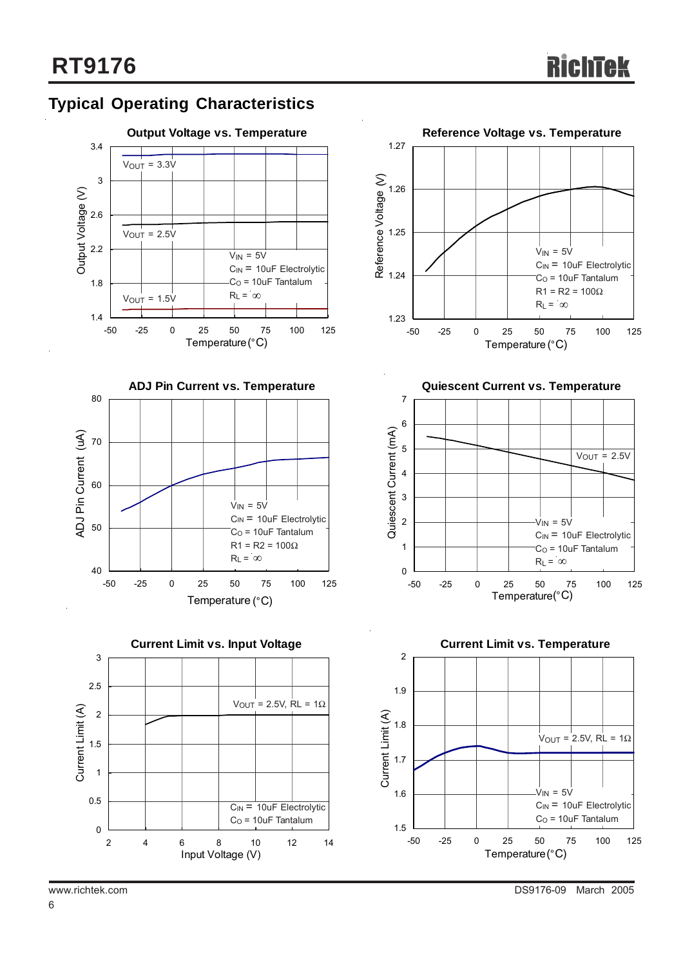### **Typical Operating Characteristics**









**Quiescent Current vs. Temperature**



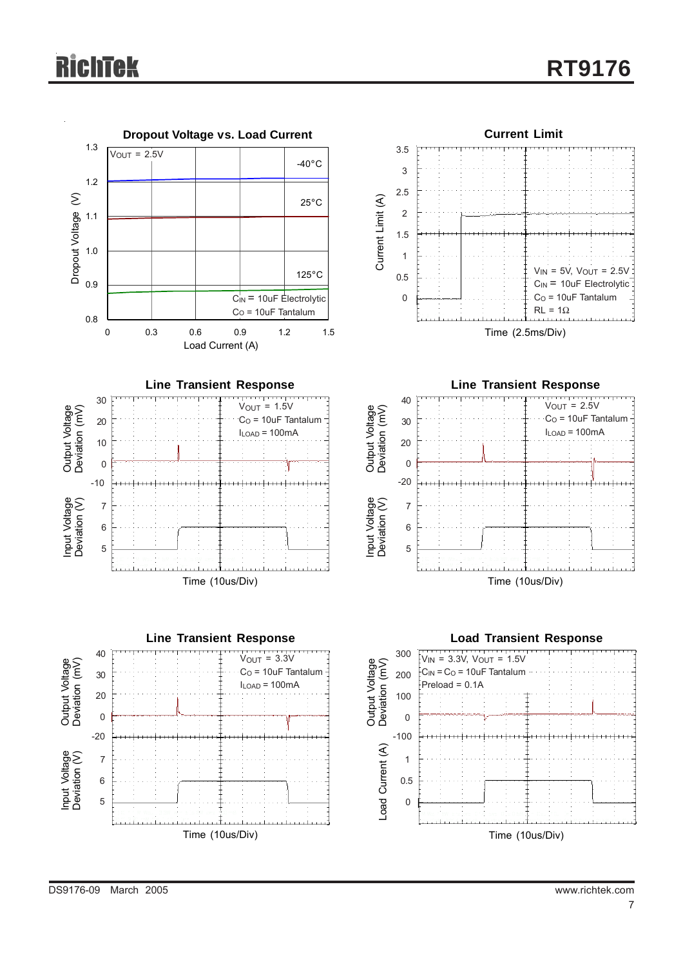# **chtek**



DS9176-09 March 2005 www.richtek.com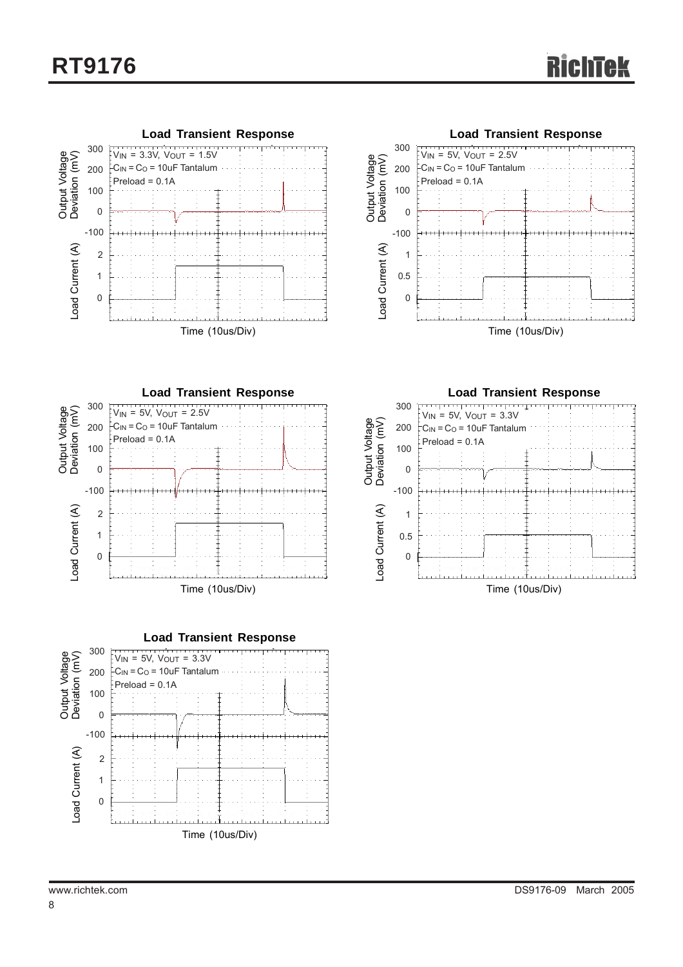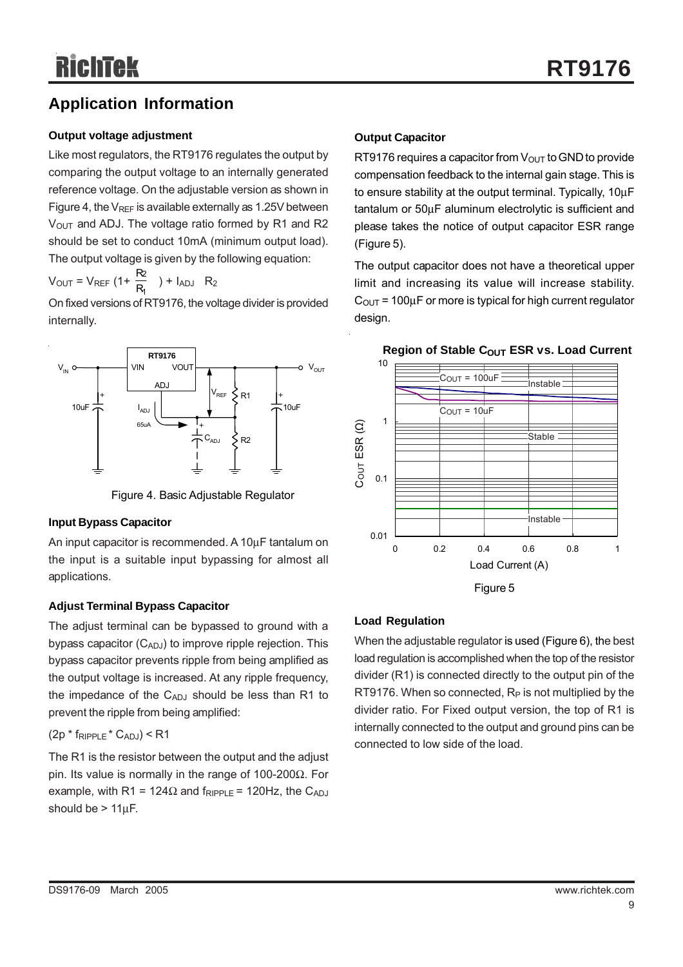### **Application Information**

#### **Output voltage adjustment**

Like most regulators, the RT9176 regulates the output by comparing the output voltage to an internally generated reference voltage. On the adjustable version as shown in Figure 4, the  $V_{REF}$  is available externally as 1.25V between  $V<sub>OUT</sub>$  and ADJ. The voltage ratio formed by R1 and R2 should be set to conduct 10mA (minimum output load). The output voltage is given by the following equation:

 $V_{\text{OUT}} = V_{\text{REF}} (1 + \frac{12}{R_1})$ 2  $\frac{\mathsf{R2}}{\mathsf{R_1}}$  ) +  $I_{\mathsf{ADJ}}$  R<sub>2</sub>

On fixed versions of RT9176, the voltage divider is provided internally.



Figure 4. Basic Adjustable Regulator

#### **Input Bypass Capacitor**

An input capacitor is recommended. A 10µF tantalum on the input is a suitable input bypassing for almost all applications.

#### **Adjust Terminal Bypass Capacitor**

The adjust terminal can be bypassed to ground with a bypass capacitor  $(C_{ADJ})$  to improve ripple rejection. This bypass capacitor prevents ripple from being amplified as the output voltage is increased. At any ripple frequency, the impedance of the  $C_{ADJ}$  should be less than R1 to prevent the ripple from being amplified:

#### $(2p * f_{RIPPLE} * C_{ADJ}) < R1$

The R1 is the resistor between the output and the adjust pin. Its value is normally in the range of 100-200Ω. For example, with R1 = 124 $\Omega$  and  $f_{RIPPLE}$  = 120Hz, the C<sub>ADJ</sub> should be  $> 11 \mu F$ .

#### **Output Capacitor**

RT9176 requires a capacitor from  $V_{\text{OUT}}$  to GND to provide compensation feedback to the internal gain stage. This is to ensure stability at the output terminal. Typically, 10µF tantalum or 50µF aluminum electrolytic is sufficient and please takes the notice of output capacitor ESR range (Figure 5).

The output capacitor does not have a theoretical upper limit and increasing its value will increase stability.  $C_{\text{OUT}}$  = 100 $\mu$ F or more is typical for high current regulator design.



#### **Region of Stable COUT ESR vs. Load Current**

Figure 5

#### **Load Regulation**

When the adjustable regulator is used (Figure 6), the best load regulation is accomplished when the top of the resistor divider (R1) is connected directly to the output pin of the RT9176. When so connected,  $R_P$  is not multiplied by the divider ratio. For Fixed output version, the top of R1 is internally connected to the output and ground pins can be connected to low side of the load.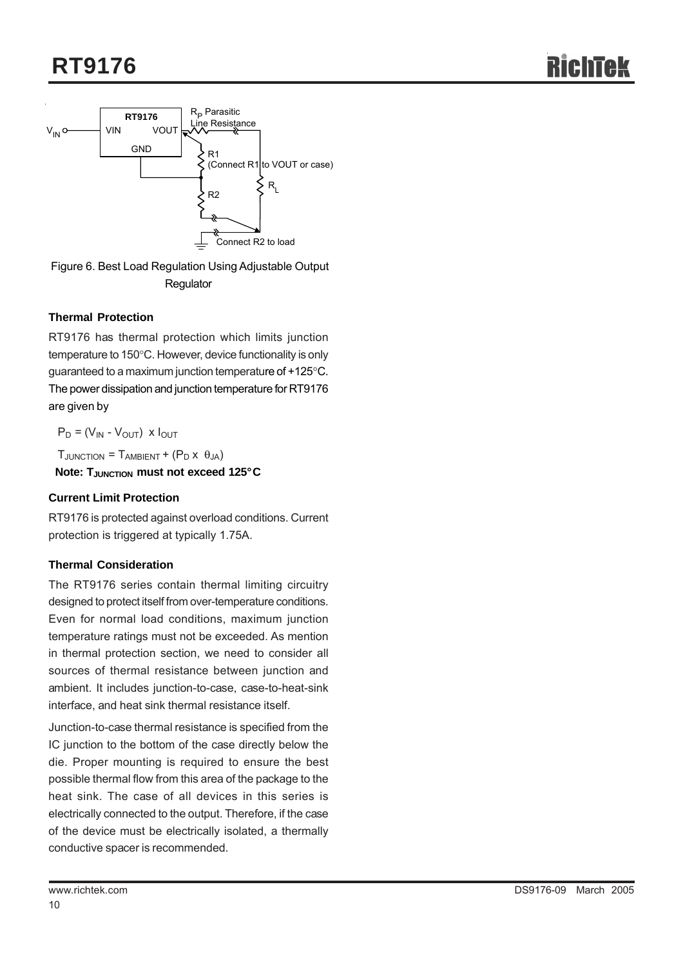

Figure 6. Best Load Regulation Using Adjustable Output **Regulator** 

#### **Thermal Protection**

RT9176 has thermal protection which limits junction temperature to 150°C. However, device functionality is only guaranteed to a maximum junction temperature of +125°C. The power dissipation and junction temperature for RT9176 are given by

 $P_D = (V_{IN} - V_{OUT})$  x  $I_{OUT}$ 

 $T_{\text{JUNCTION}} = T_{\text{AMBIENT}} + (P_{\text{D}} \times \theta_{\text{JA}})$ 

**Note: TJUNCTION MUST NOTE EXCEED 125°C** 

#### **Current Limit Protection**

RT9176 is protected against overload conditions. Current protection is triggered at typically 1.75A.

#### **Thermal Consideration**

The RT9176 series contain thermal limiting circuitry designed to protect itself from over-temperature conditions. Even for normal load conditions, maximum junction temperature ratings must not be exceeded. As mention in thermal protection section, we need to consider all sources of thermal resistance between junction and ambient. It includes junction-to-case, case-to-heat-sink interface, and heat sink thermal resistance itself.

Junction-to-case thermal resistance is specified from the IC junction to the bottom of the case directly below the die. Proper mounting is required to ensure the best possible thermal flow from this area of the package to the heat sink. The case of all devices in this series is electrically connected to the output. Therefore, if the case of the device must be electrically isolated, a thermally conductive spacer is recommended.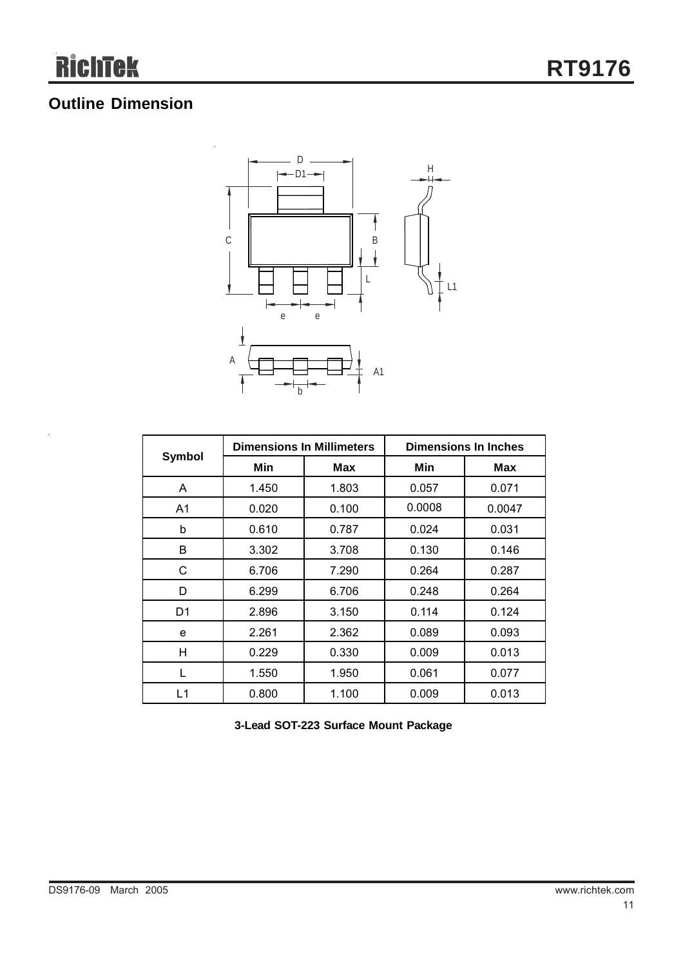# **Outline Dimension**



| Symbol | <b>Dimensions In Millimeters</b> |       | <b>Dimensions In Inches</b> |        |  |
|--------|----------------------------------|-------|-----------------------------|--------|--|
|        | Min                              | Max   | Min                         | Max    |  |
| A      | 1.450                            | 1.803 | 0.057                       | 0.071  |  |
| A1     | 0.020                            | 0.100 | 0.0008                      | 0.0047 |  |
| b      | 0.610                            | 0.787 | 0.024                       | 0.031  |  |
| В      | 3.302                            | 3.708 | 0.130                       | 0.146  |  |
| C      | 6.706                            | 7.290 | 0.264                       | 0.287  |  |
| D      | 6.299                            | 6.706 | 0.248                       | 0.264  |  |
| D1     | 2.896                            | 3.150 | 0.114                       | 0.124  |  |
| e      | 2.261                            | 2.362 | 0.089                       | 0.093  |  |
| H      | 0.229                            | 0.330 | 0.009                       | 0.013  |  |
|        | 1.550                            | 1.950 | 0.061                       | 0.077  |  |
| L1     | 0.800                            | 1.100 | 0.009                       | 0.013  |  |

**3-Lead SOT-223 Surface Mount Package**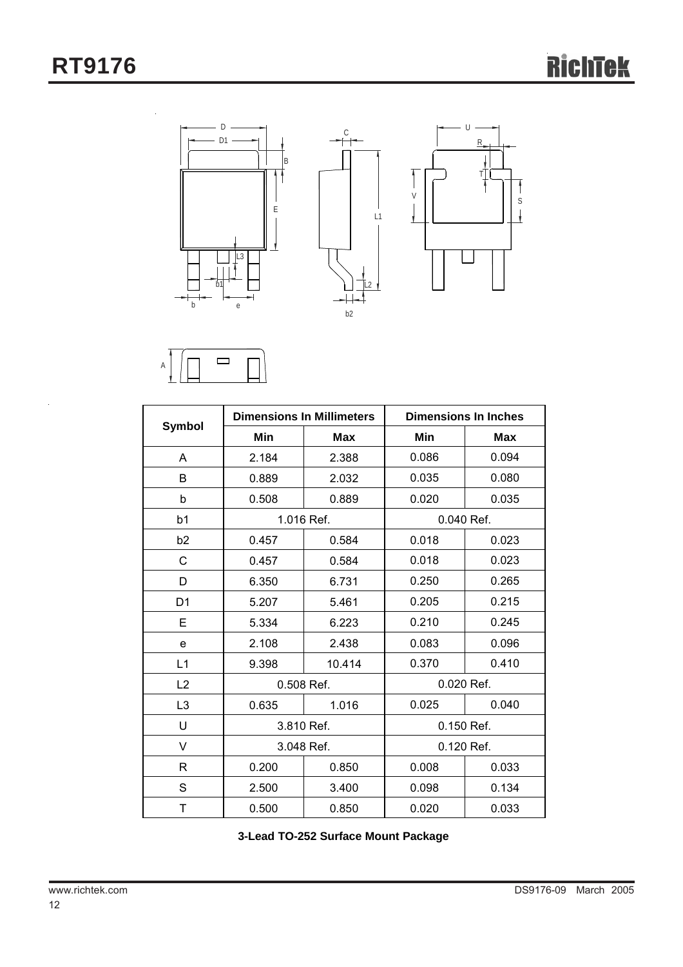



|                |                          | <b>Dimensions In Millimeters</b> | <b>Dimensions In Inches</b> |            |  |
|----------------|--------------------------|----------------------------------|-----------------------------|------------|--|
| <b>Symbol</b>  | Min<br>Min<br><b>Max</b> |                                  |                             | <b>Max</b> |  |
| A              | 2.184                    | 2.388                            | 0.086                       | 0.094      |  |
| B              | 0.889                    | 2.032                            | 0.035                       | 0.080      |  |
| b              | 0.508                    | 0.889                            | 0.020                       | 0.035      |  |
| b <sub>1</sub> |                          | 1.016 Ref.                       | 0.040 Ref.                  |            |  |
| b <sub>2</sub> | 0.457                    | 0.584                            | 0.018                       | 0.023      |  |
| C              | 0.457                    | 0.584                            | 0.018                       | 0.023      |  |
| D              | 6.350                    | 6.731                            | 0.250                       | 0.265      |  |
| D <sub>1</sub> | 5.207                    | 5.461                            | 0.205                       | 0.215      |  |
| E              | 5.334                    | 6.223                            | 0.210                       | 0.245      |  |
| e              | 2.108                    | 2.438                            | 0.083                       | 0.096      |  |
| L1             | 9.398                    | 10.414                           | 0.370                       | 0.410      |  |
| L2             | 0.508 Ref.               |                                  | 0.020 Ref.                  |            |  |
| L3             | 0.635                    | 1.016                            | 0.025                       | 0.040      |  |
| U              |                          | 3.810 Ref.                       | 0.150 Ref.                  |            |  |
| V              | 3.048 Ref.               |                                  | 0.120 Ref.                  |            |  |
| R              | 0.200                    | 0.850                            | 0.008                       | 0.033      |  |
| S              | 2.500                    | 3.400                            | 0.098                       | 0.134      |  |
| T              | 0.500                    | 0.850                            | 0.020                       | 0.033      |  |

**3-Lead TO-252 Surface Mount Package**